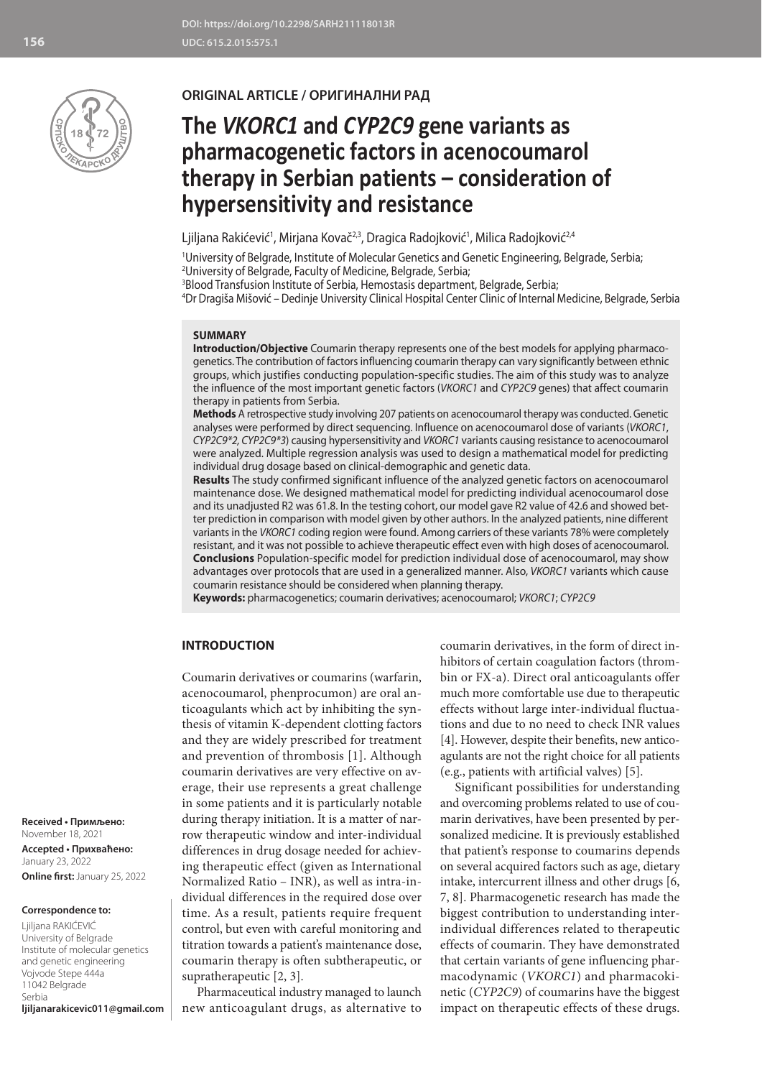

## **ORIGINAL ARTICLE / ОРИГИНАЛНИ РАД**

# **The** *VKORC1* **and** *CYP2C9* **gene variants as pharmacogenetic factors in acenocoumarol therapy in Serbian patients – consideration of hypersensitivity and resistance**

Ljiljana Rakićević<sup>1</sup>, Mirjana Kovač<sup>2,3</sup>, Dragica Radojković<sup>1</sup>, Milica Radojković<sup>2,4</sup>

1 University of Belgrade, Institute of Molecular Genetics and Genetic Engineering, Belgrade, Serbia; 2 University of Belgrade, Faculty of Medicine, Belgrade, Serbia;

3 Blood Transfusion Institute of Serbia, Hemostasis department, Belgrade, Serbia;

4 Dr Dragiša Mišović – Dedinje University Clinical Hospital Center Clinic of Internal Medicine, Belgrade, Serbia

#### **SUMMARY**

**Introduction/Objective** Coumarin therapy represents one of the best models for applying pharmacogenetics. The contribution of factors influencing coumarin therapy can vary significantly between ethnic groups, which justifies conducting population-specific studies. The aim of this study was to analyze the influence of the most important genetic factors (*VKORC1* and *CYP2C9* genes) that affect coumarin therapy in patients from Serbia.

**Methods** A retrospective study involving 207 patients on acenocoumarol therapy was conducted. Genetic analyses were performed by direct sequencing. Influence on acenocoumarol dose of variants (*VKORC1*, *CYP2C9\*2, CYP2C9\*3*) causing hypersensitivity and *VKORC1* variants causing resistance to acenocoumarol were analyzed. Multiple regression analysis was used to design a mathematical model for predicting individual drug dosage based on clinical-demographic and genetic data.

**Results** The study confirmed significant influence of the analyzed genetic factors on acenocoumarol maintenance dose. We designed mathematical model for predicting individual acenocoumarol dose and its unadjusted R2 was 61.8. In the testing cohort, our model gave R2 value of 42.6 and showed better prediction in comparison with model given by other authors. In the analyzed patients, nine different variants in the *VKORC1* coding region were found. Among carriers of these variants 78% were completely resistant, and it was not possible to achieve therapeutic effect even with high doses of acenocoumarol. **Conclusions** Population-specific model for prediction individual dose of acenocoumarol, may show advantages over protocols that are used in a generalized manner. Also, *VKORC1* variants which cause coumarin resistance should be considered when planning therapy.

**Keywords:** pharmacogenetics; coumarin derivatives; acenocoumarol; *VKORC1*; *CYP2C9*

## **INTRODUCTION**

Coumarin derivatives or coumarins (warfarin, acenocoumarol, phenprocumon) are oral anticoagulants which act by inhibiting the synthesis of vitamin K-dependent clotting factors and they are widely prescribed for treatment and prevention of thrombosis [1]. Although coumarin derivatives are very effective on average, their use represents a great challenge in some patients and it is particularly notable during therapy initiation. It is a matter of narrow therapeutic window and inter-individual differences in drug dosage needed for achieving therapeutic effect (given as International Normalized Ratio – INR), as well as intra-individual differences in the required dose over time. As a result, patients require frequent control, but even with careful monitoring and titration towards a patient's maintenance dose, coumarin therapy is often subtherapeutic, or supratherapeutic [2, 3].

Pharmaceutical industry managed to launch new anticoagulant drugs, as alternative to coumarin derivatives, in the form of direct inhibitors of certain coagulation factors (thrombin or FX-a). Direct oral anticoagulants offer much more comfortable use due to therapeutic effects without large inter-individual fluctuations and due to no need to check INR values [4]. However, despite their benefits, new anticoagulants are not the right choice for all patients (e.g., patients with artificial valves) [5].

Significant possibilities for understanding and overcoming problems related to use of coumarin derivatives, have been presented by personalized medicine. It is previously established that patient's response to coumarins depends on several acquired factors such as age, dietary intake, intercurrent illness and other drugs [6, 7, 8]. Pharmacogenetic research has made the biggest contribution to understanding interindividual differences related to therapeutic effects of coumarin. They have demonstrated that certain variants of gene influencing pharmacodynamic (*VKORC1*) and pharmacokinetic (*CYP2C9*) of coumarins have the biggest impact on therapeutic effects of these drugs.

**Received • Примљено:**  November 18, 2021

**Accepted • Прихваћено:** January 23, 2022 **Online first:** January 25, 2022

#### **Correspondence to:**

Ljiljana RAKIĆEVIĆ University of Belgrade Institute of molecular genetics and genetic engineering Vojvode Stepe 444a 11042 Belgrade Serbia **ljiljanarakicevic011@gmail.com**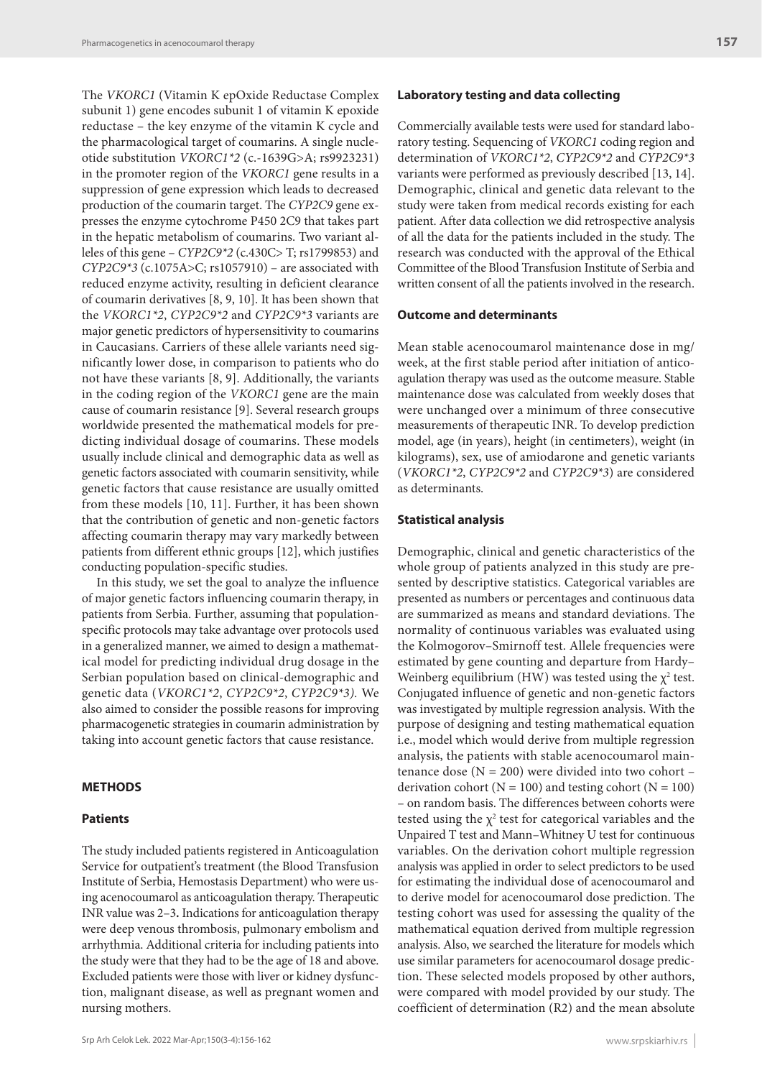The *VKORC1* (Vitamin K epOxide Reductase Complex subunit 1) gene encodes subunit 1 of vitamin K epoxide reductase – the key enzyme of the vitamin K cycle and the pharmacological target of coumarins. A single nucleotide substitution *VKORC1\*2* (c.-1639G>A; rs9923231) in the promoter region of the *VKORC1* gene results in a suppression of gene expression which leads to decreased production of the coumarin target. The *CYP2C9* gene expresses the enzyme cytochrome P450 2C9 that takes part in the hepatic metabolism of coumarins. Two variant alleles of this gene – *CYP2C9\*2* (c.430C> T; rs1799853) and *CYP2C9\*3* (c.1075A>C; rs1057910) – are associated with reduced enzyme activity, resulting in deficient clearance of coumarin derivatives [8, 9, 10]. It has been shown that the *VKORC1\*2*, *CYP2C9\*2* and *CYP2C9\*3* variants are major genetic predictors of hypersensitivity to coumarins in Caucasians. Carriers of these allele variants need significantly lower dose, in comparison to patients who do not have these variants [8, 9]. Additionally, the variants in the coding region of the *VKORC1* gene are the main cause of coumarin resistance [9]. Several research groups worldwide presented the mathematical models for predicting individual dosage of coumarins. These models usually include clinical and demographic data as well as genetic factors associated with coumarin sensitivity, while genetic factors that cause resistance are usually omitted from these models [10, 11]. Further, it has been shown that the contribution of genetic and non-genetic factors affecting coumarin therapy may vary markedly between patients from different ethnic groups [12], which justifies conducting population-specific studies.

In this study, we set the goal to analyze the influence of major genetic factors influencing coumarin therapy, in patients from Serbia. Further, assuming that populationspecific protocols may take advantage over protocols used in a generalized manner, we aimed to design a mathematical model for predicting individual drug dosage in the Serbian population based on clinical-demographic and genetic data (*VKORC1\*2*, *CYP2C9\*2*, *CYP2C9\*3).* We also aimed to consider the possible reasons for improving pharmacogenetic strategies in coumarin administration by taking into account genetic factors that cause resistance.

#### **METHODS**

#### **Patients**

The study included patients registered in Anticoagulation Service for outpatient's treatment (the Blood Transfusion Institute of Serbia, Hemostasis Department) who were using acenocoumarol as anticoagulation therapy. Therapeutic INR value was 2–3**.** Indications for anticoagulation therapy were deep venous thrombosis, pulmonary embolism and arrhythmia. Additional criteria for including patients into the study were that they had to be the age of 18 and above. Excluded patients were those with liver or kidney dysfunction, malignant disease, as well as pregnant women and nursing mothers.

## **Laboratory testing and data collecting**

Commercially available tests were used for standard laboratory testing. Sequencing of *VKORC1* coding region and determination of *VKORC1\*2*, *CYP2C9\*2* and *CYP2C9\*3* variants were performed as previously described [13, 14]. Demographic, clinical and genetic data relevant to the study were taken from medical records existing for each patient. After data collection we did retrospective analysis of all the data for the patients included in the study. The research was conducted with the approval of the Ethical Committee of the Blood Transfusion Institute of Serbia and written consent of all the patients involved in the research.

## **Outcome and determinants**

Mean stable acenocoumarol maintenance dose in mg/ week, at the first stable period after initiation of anticoagulation therapy was used as the outcome measure. Stable maintenance dose was calculated from weekly doses that were unchanged over a minimum of three consecutive measurements of therapeutic INR. To develop prediction model, age (in years), height (in centimeters), weight (in kilograms), sex, use of amiodarone and genetic variants (*VKORC1\*2*, *CYP2C9\*2* and *CYP2C9\*3*) are considered as determinants.

#### **Statistical analysis**

Demographic, clinical and genetic characteristics of the whole group of patients analyzed in this study are presented by descriptive statistics. Categorical variables are presented as numbers or percentages and continuous data are summarized as means and standard deviations. The normality of continuous variables was evaluated using the Kolmogorov–Smirnoff test. Allele frequencies were estimated by gene counting and departure from Hardy– Weinberg equilibrium (HW) was tested using the  $\chi^2$  test. Conjugated influence of genetic and non-genetic factors was investigated by multiple regression analysis. With the purpose of designing and testing mathematical equation i.e., model which would derive from multiple regression analysis, the patients with stable acenocoumarol maintenance dose  $(N = 200)$  were divided into two cohort – derivation cohort ( $N = 100$ ) and testing cohort ( $N = 100$ ) – on random basis. The differences between cohorts were tested using the  $\chi^2$  test for categorical variables and the Unpaired T test and Mann–Whitney U test for continuous variables. On the derivation cohort multiple regression analysis was applied in order to select predictors to be used for estimating the individual dose of acenocoumarol and to derive model for acenocoumarol dose prediction. The testing cohort was used for assessing the quality of the mathematical equation derived from multiple regression analysis. Also, we searched the literature for models which use similar parameters for acenocoumarol dosage prediction. These selected models proposed by other authors, were compared with model provided by our study. The coefficient of determination (R2) and the mean absolute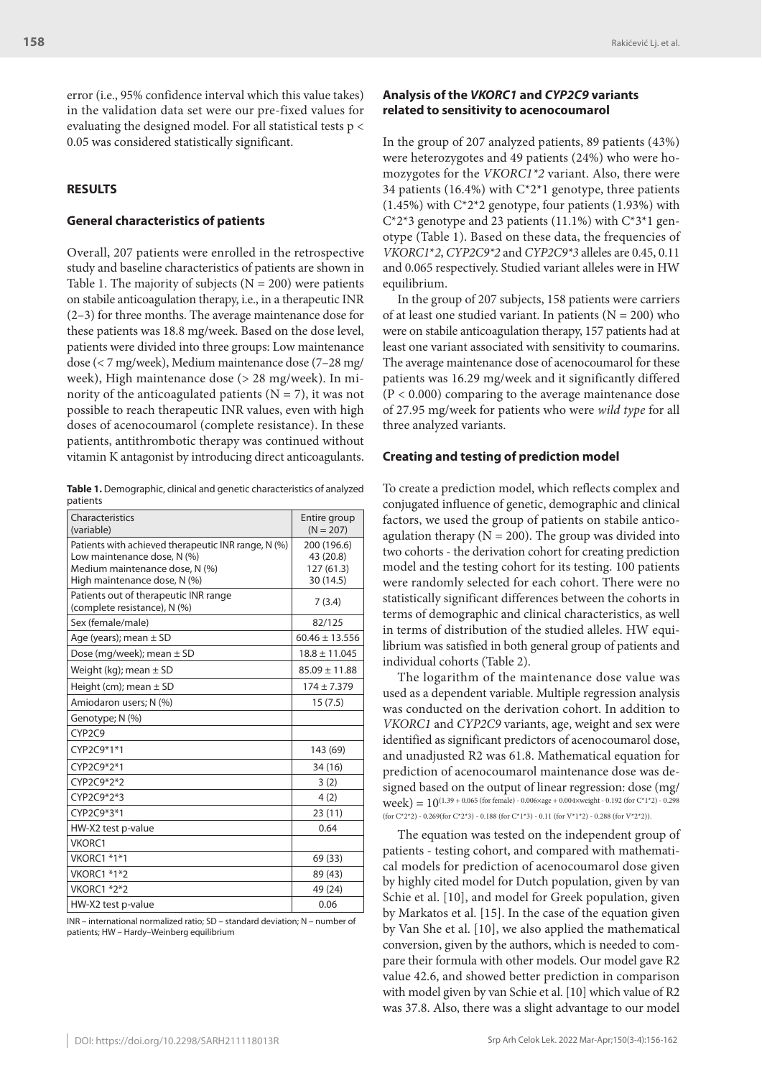error (i.e., 95% confidence interval which this value takes) in the validation data set were our pre-fixed values for evaluating the designed model. For all statistical tests p < 0.05 was considered statistically significant.

#### **RESULTS**

#### **General characteristics of patients**

Overall, 207 patients were enrolled in the retrospective study and baseline characteristics of patients are shown in Table 1. The majority of subjects ( $N = 200$ ) were patients on stabile anticoagulation therapy, i.e., in a therapeutic INR (2–3) for three months. The average maintenance dose for these patients was 18.8 mg/week. Based on the dose level, patients were divided into three groups: Low maintenance dose (< 7 mg/week), Medium maintenance dose (7–28 mg/ week), High maintenance dose (> 28 mg/week). In minority of the anticoagulated patients  $(N = 7)$ , it was not possible to reach therapeutic INR values, even with high doses of acenocoumarol (complete resistance). In these patients, antithrombotic therapy was continued without vitamin K antagonist by introducing direct anticoagulants.

**Table 1.** Demographic, clinical and genetic characteristics of analyzed patients

| Characteristics<br>(variable)                                                                                                                        | Entire group<br>$(N = 207)$                        |
|------------------------------------------------------------------------------------------------------------------------------------------------------|----------------------------------------------------|
| Patients with achieved therapeutic INR range, N (%)<br>Low maintenance dose, N (%)<br>Medium maintenance dose, N (%)<br>High maintenance dose, N (%) | 200 (196.6)<br>43 (20.8)<br>127(61.3)<br>30 (14.5) |
| Patients out of therapeutic INR range<br>(complete resistance), N (%)                                                                                | 7(3.4)                                             |
| Sex (female/male)                                                                                                                                    | 82/125                                             |
| Age (years); mean $\pm$ SD                                                                                                                           | $60.46 \pm 13.556$                                 |
| Dose (mg/week); mean $\pm$ SD                                                                                                                        | $18.8 \pm 11.045$                                  |
| Weight (kg); mean $\pm$ SD                                                                                                                           | $85.09 \pm 11.88$                                  |
| Height (cm); mean $\pm$ SD                                                                                                                           | $174 \pm 7.379$                                    |
| Amiodaron users; N (%)                                                                                                                               | 15(7.5)                                            |
| Genotype; N (%)                                                                                                                                      |                                                    |
| CYP <sub>2C9</sub>                                                                                                                                   |                                                    |
| CYP2C9*1*1                                                                                                                                           | 143 (69)                                           |
| CYP2C9*2*1                                                                                                                                           | 34 (16)                                            |
| CYP2C9*2*2                                                                                                                                           | 3(2)                                               |
| CYP2C9*2*3                                                                                                                                           | 4(2)                                               |
| CYP2C9*3*1                                                                                                                                           | 23(11)                                             |
| HW-X2 test p-value                                                                                                                                   | 0.64                                               |
| VKORC1                                                                                                                                               |                                                    |
| VKORC1 *1*1                                                                                                                                          | 69 (33)                                            |
| VKORC1 *1*2                                                                                                                                          | 89 (43)                                            |
| VKORC1 *2*2                                                                                                                                          | 49 (24)                                            |
| HW-X2 test p-value                                                                                                                                   | 0.06                                               |

INR – international normalized ratio; SD – standard deviation; N – number of patients; HW – Hardy–Weinberg equilibrium

## **Analysis of the** *VKORC1* **and** *CYP2C9* **variants related to sensitivity to acenocoumarol**

In the group of 207 analyzed patients, 89 patients (43%) were heterozygotes and 49 patients (24%) who were homozygotes for the *VKORC1\*2* variant. Also, there were 34 patients (16.4%) with  $C^*2^*1$  genotype, three patients  $(1.45\%)$  with C<sup>\*</sup>2<sup>\*</sup>2 genotype, four patients  $(1.93\%)$  with  $C^*2^*3$  genotype and 23 patients (11.1%) with  $C^*3^*1$  genotype (Table 1). Based on these data, the frequencies of *VKORC1*\**2*, *CYP2C9\*2* and *CYP2C9\*3* alleles are 0.45, 0.11 and 0.065 respectively. Studied variant alleles were in HW equilibrium.

In the group of 207 subjects, 158 patients were carriers of at least one studied variant. In patients  $(N = 200)$  who were on stabile anticoagulation therapy, 157 patients had at least one variant associated with sensitivity to coumarins. The average maintenance dose of acenocoumarol for these patients was 16.29 mg/week and it significantly differed (P < 0.000) comparing to the average maintenance dose of 27.95 mg/week for patients who were *wild type* for all three analyzed variants.

## **Creating and testing of prediction model**

To create a prediction model, which reflects complex and conjugated influence of genetic, demographic and clinical factors, we used the group of patients on stabile anticoagulation therapy ( $N = 200$ ). The group was divided into two cohorts - the derivation cohort for creating prediction model and the testing cohort for its testing. 100 patients were randomly selected for each cohort. There were no statistically significant differences between the cohorts in terms of demographic and clinical characteristics, as well in terms of distribution of the studied alleles. HW equilibrium was satisfied in both general group of patients and individual cohorts (Table 2).

The logarithm of the maintenance dose value was used as a dependent variable. Multiple regression analysis was conducted on the derivation cohort. In addition to *VKORC1* and *CYP2C9* variants, age, weight and sex were identified as significant predictors of acenocoumarol dose, and unadjusted R2 was 61.8. Mathematical equation for prediction of acenocoumarol maintenance dose was designed based on the output of linear regression: dose (mg/  $week) = 10^{(1.39 + 0.065 (for female) - 0.006 \times age + 0.004 \times weight - 0.192 (for C*1*2) - 0.298)}$ (for C\*2\*2) - 0.269(for C\*2\*3) - 0.188 (for C\*1\*3) - 0.11 (for V\*1\*2) - 0.288 (for V\*2\*2)).

The equation was tested on the independent group of patients - testing cohort, and compared with mathematical models for prediction of acenocoumarol dose given by highly cited model for Dutch population, given by van Schie et al. [10], and model for Greek population, given by Markatos et al. [15]. In the case of the equation given by Van She et al. [10], we also applied the mathematical conversion, given by the authors, which is needed to compare their formula with other models. Our model gave R2 value 42.6, and showed better prediction in comparison with model given by van Schie et al. [10] which value of R2 was 37.8. Also, there was a slight advantage to our model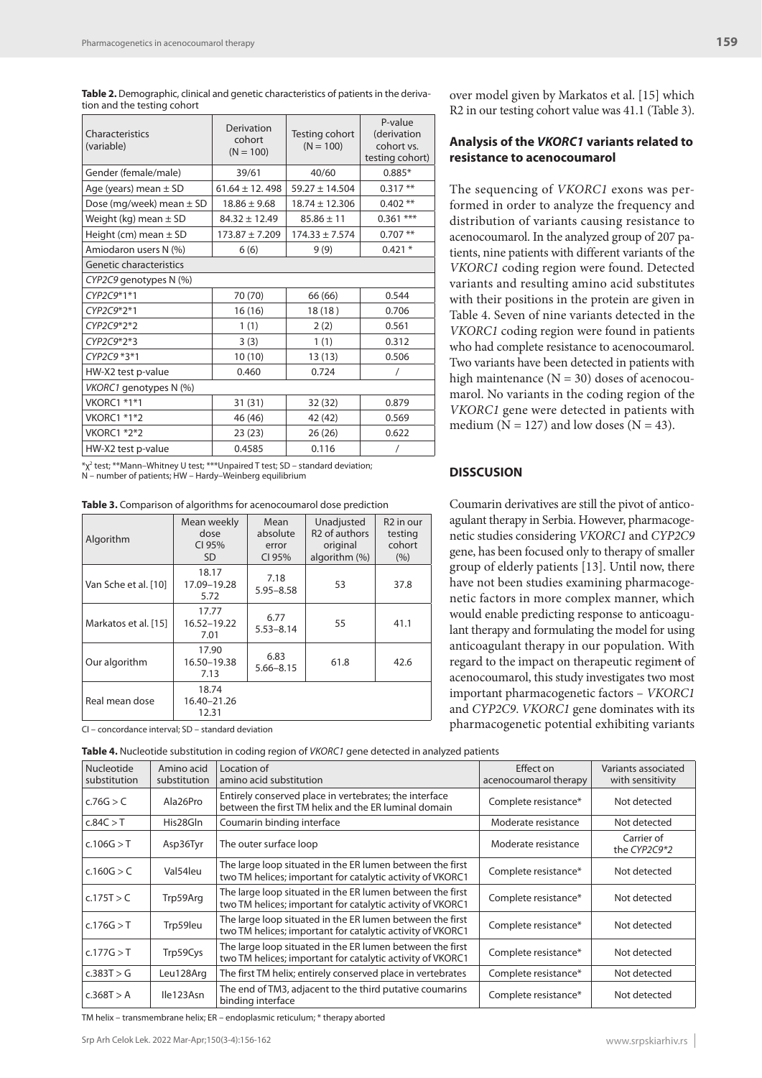Table 2. Demographic, clinical and genetic characteristics of patients in the derivation and the testing cohort

| Characteristics<br>(variable) | Derivation<br>cohort<br>$(N = 100)$ | Testing cohort<br>$(N = 100)$ | P-value<br>(derivation<br>cohort vs.<br>testing cohort) |  |  |  |
|-------------------------------|-------------------------------------|-------------------------------|---------------------------------------------------------|--|--|--|
| Gender (female/male)          | 39/61                               | 40/60                         | $0.885*$                                                |  |  |  |
| Age (years) mean $\pm$ SD     | $61.64 \pm 12.498$                  | $59.27 \pm 14.504$            | $0.317**$                                               |  |  |  |
| Dose (mg/week) mean $\pm$ SD  | $18.86 \pm 9.68$                    | $18.74 \pm 12.306$            | $0.402**$                                               |  |  |  |
| Weight (kg) mean $\pm$ SD     | $84.32 \pm 12.49$                   | $85.86 \pm 11$                | $0.361$ ***                                             |  |  |  |
| Height (cm) mean $\pm$ SD     | $173.87 \pm 7.209$                  | $174.33 \pm 7.574$            | $0.707$ **                                              |  |  |  |
| Amiodaron users N (%)         | 6(6)                                | 9(9)                          | $0.421*$                                                |  |  |  |
| Genetic characteristics       |                                     |                               |                                                         |  |  |  |
| CYP2C9 genotypes N (%)        |                                     |                               |                                                         |  |  |  |
| CYP2C9*1*1                    | 70 (70)                             | 66 (66)                       | 0.544                                                   |  |  |  |
| CYP2C9*2*1                    | 16 (16)                             | 18(18)                        | 0.706                                                   |  |  |  |
| CYP2C9*2*2                    | 1(1)                                | 2(2)                          | 0.561                                                   |  |  |  |
| CYP2C9*2*3                    | 3(3)                                | 1(1)                          | 0.312                                                   |  |  |  |
| CYP2C9 *3*1                   | 10(10)                              | 13(13)                        | 0.506                                                   |  |  |  |
| HW-X2 test p-value            | 0.460                               | 0.724                         | /                                                       |  |  |  |
| VKORC1 genotypes N (%)        |                                     |                               |                                                         |  |  |  |
| <b>VKORC1 *1*1</b>            | 31(31)                              | 32(32)                        | 0.879                                                   |  |  |  |
| VKORC1 *1*2                   | 46 (46)                             | 42 (42)                       | 0.569                                                   |  |  |  |
| VKORC1 *2*2                   | 23(23)                              | 26(26)                        | 0.622                                                   |  |  |  |
| HW-X2 test p-value            | 0.4585                              | 0.116                         | $\prime$                                                |  |  |  |

\*χ2 test; \*\*Mann–Whitney U test; \*\*\*Unpaired T test; SD – standard deviation; N – number of patients; HW – Hardy–Weinberg equilibrium

**Table 3.** Comparison of algorithms for acenocoumarol dose prediction

| Algorithm            | Mean weekly<br>dose<br>CI 95%<br>SD | Mean<br>absolute<br>error<br>CI 95% | Unadjusted<br>R <sub>2</sub> of authors<br>original<br>algorithm (%) | R <sub>2</sub> in our<br>testing<br>cohort<br>(9/6) |
|----------------------|-------------------------------------|-------------------------------------|----------------------------------------------------------------------|-----------------------------------------------------|
| Van Sche et al. [10] | 18.17<br>17.09-19.28<br>5.72        | 7.18<br>$5.95 - 8.58$               | 53                                                                   | 37.8                                                |
| Markatos et al. [15] | 17.77<br>16.52-19.22<br>7.01        | 6.77<br>$5.53 - 8.14$               | 55                                                                   | 41.1                                                |
| Our algorithm        | 17.90<br>16.50-19.38<br>7.13        | 6.83<br>$5.66 - 8.15$               | 61.8                                                                 | 42.6                                                |
| Real mean dose       | 18.74<br>16.40-21.26<br>12.31       |                                     |                                                                      |                                                     |

CI – concordance interval; SD – standard deviation

**Table 4.** Nucleotide substitution in coding region of *VKORC1* gene detected in analyzed patients

over model given by Markatos et al. [15] which R2 in our testing cohort value was 41.1 (Table 3).

## **Analysis of the** *VKORC1* **variants related to resistance to acenocoumarol**

The sequencing of *VKORC1* exons was performed in order to analyze the frequency and distribution of variants causing resistance to acenocoumarol. In the analyzed group of 207 patients, nine patients with different variants of the *VKORC1* coding region were found. Detected variants and resulting amino acid substitutes with their positions in the protein are given in Table 4. Seven of nine variants detected in the *VKORC1* coding region were found in patients who had complete resistance to acenocoumarol. Two variants have been detected in patients with high maintenance  $(N = 30)$  doses of acenocoumarol. No variants in the coding region of the *VKORC1* gene were detected in patients with medium ( $N = 127$ ) and low doses ( $N = 43$ ).

## **DISSCUSION**

Coumarin derivatives are still the pivot of anticoagulant therapy in Serbia. However, pharmacogenetic studies considering *VKORC1* and *CYP2C9* gene, has been focused only to therapy of smaller group of elderly patients [13]. Until now, there have not been studies examining pharmacogenetic factors in more complex manner, which would enable predicting response to anticoagulant therapy and formulating the model for using anticoagulant therapy in our population. With regard to the impact on therapeutic regiment of acenocoumarol, this study investigates two most important pharmacogenetic factors – *VKORC1* and *CYP2C9*. *VKORC1* gene dominates with its pharmacogenetic potential exhibiting variants

| <b>Nucleotide</b> | Amino acid   | Location of                                                                                                             | Effect on             | Variants associated        |
|-------------------|--------------|-------------------------------------------------------------------------------------------------------------------------|-----------------------|----------------------------|
| substitution      | substitution | amino acid substitution                                                                                                 | acenocoumarol therapy | with sensitivity           |
|                   |              |                                                                                                                         |                       |                            |
| c.76G > C         | Ala26Pro     | Entirely conserved place in vertebrates; the interface<br>between the first TM helix and the ER luminal domain          | Complete resistance*  | Not detected               |
| c.84C > T         | His28Gln     | Coumarin binding interface                                                                                              | Moderate resistance   | Not detected               |
| c.106G > T        | Asp36Tyr     | The outer surface loop                                                                                                  | Moderate resistance   | Carrier of<br>the CYP2C9*2 |
| c.160G > C        | Val54leu     | The large loop situated in the ER lumen between the first<br>two TM helices; important for catalytic activity of VKORC1 | Complete resistance*  | Not detected               |
| c.175T > C        | Trp59Arg     | The large loop situated in the ER lumen between the first<br>two TM helices; important for catalytic activity of VKORC1 | Complete resistance*  | Not detected               |
| c.176G > T        | Trp59leu     | The large loop situated in the ER lumen between the first<br>two TM helices; important for catalytic activity of VKORC1 | Complete resistance*  | Not detected               |
| c.177G > T        | Trp59Cys     | The large loop situated in the ER lumen between the first<br>two TM helices; important for catalytic activity of VKORC1 | Complete resistance*  | Not detected               |
| c.383T > G        | Leu128Arg    | The first TM helix; entirely conserved place in vertebrates                                                             | Complete resistance*  | Not detected               |
| c.368T > A        | Ile123Asn    | The end of TM3, adjacent to the third putative coumarins<br>binding interface                                           | Complete resistance*  | Not detected               |

TM helix – transmembrane helix; ER – endoplasmic reticulum; \* therapy aborted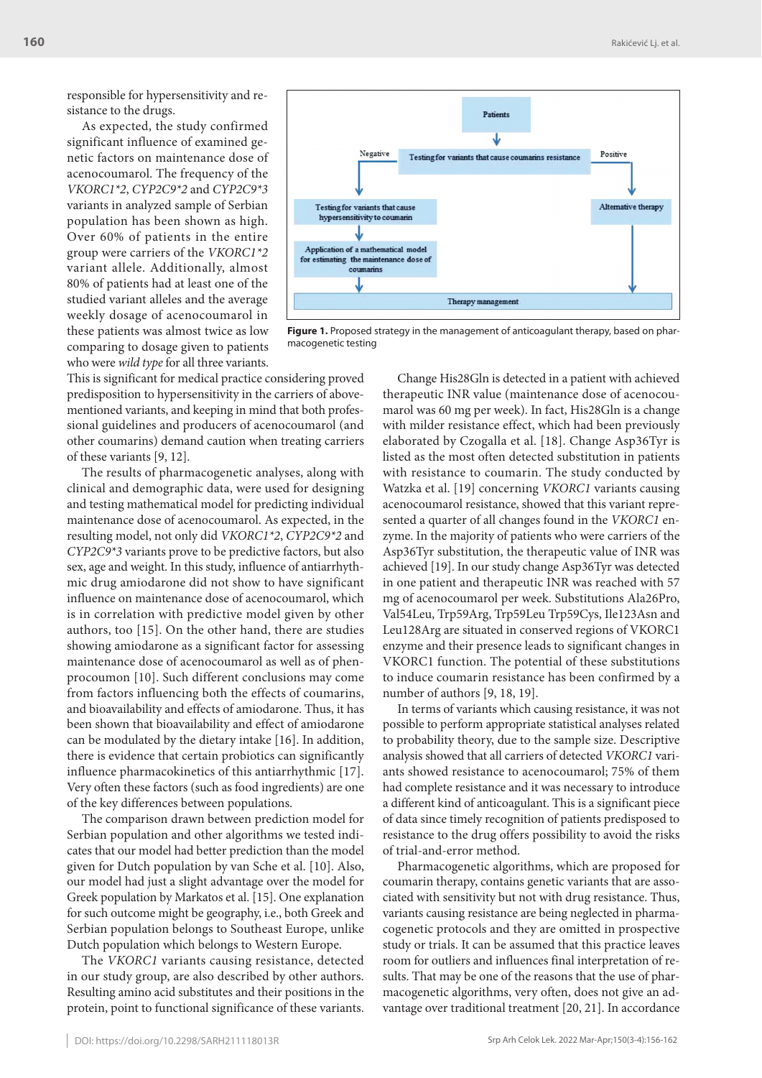responsible for hypersensitivity and resistance to the drugs.

As expected, the study confirmed significant influence of examined genetic factors on maintenance dose of acenocoumarol. The frequency of the *VKORC1\*2*, *CYP2C9\*2* and *CYP2C9\*3* variants in analyzed sample of Serbian population has been shown as high. Over 60% of patients in the entire group were carriers of the *VKORC1\*2* variant allele. Additionally, almost 80% of patients had at least one of the studied variant alleles and the average weekly dosage of acenocoumarol in these patients was almost twice as low comparing to dosage given to patients who were *wild type* for all three variants.



**Figure 1.** Proposed strategy in the management of anticoagulant therapy, based on pharmacogenetic testing

This is significant for medical practice considering proved predisposition to hypersensitivity in the carriers of abovementioned variants, and keeping in mind that both professional guidelines and producers of acenocoumarol (and other coumarins) demand caution when treating carriers of these variants [9, 12].

The results of pharmacogenetic analyses, along with clinical and demographic data, were used for designing and testing mathematical model for predicting individual maintenance dose of acenocoumarol. As expected, in the resulting model, not only did *VKORC1\*2*, *CYP2C9\*2* and *CYP2C9\*3* variants prove to be predictive factors, but also sex, age and weight. In this study, influence of antiarrhythmic drug amiodarone did not show to have significant influence on maintenance dose of acenocoumarol, which is in correlation with predictive model given by other authors, too [15]. On the other hand, there are studies showing amiodarone as a significant factor for assessing maintenance dose of acenocoumarol as well as of phenprocoumon [10]. Such different conclusions may come from factors influencing both the effects of coumarins, and bioavailability and effects of amiodarone. Thus, it has been shown that bioavailability and effect of amiodarone can be modulated by the dietary intake [16]. In addition, there is evidence that certain probiotics can significantly influence pharmacokinetics of this antiarrhythmic [17]. Very often these factors (such as food ingredients) are one of the key differences between populations.

The comparison drawn between prediction model for Serbian population and other algorithms we tested indicates that our model had better prediction than the model given for Dutch population by van Sche et al. [10]. Also, our model had just a slight advantage over the model for Greek population by Markatos et al. [15]. One explanation for such outcome might be geography, i.e., both Greek and Serbian population belongs to Southeast Europe, unlike Dutch population which belongs to Western Europe.

The *VKORC1* variants causing resistance, detected in our study group, are also described by other authors. Resulting amino acid substitutes and their positions in the protein, point to functional significance of these variants.

Change His28Gln is detected in a patient with achieved therapeutic INR value (maintenance dose of acenocoumarol was 60 mg per week). In fact, His28Gln is a change with milder resistance effect, which had been previously elaborated by Czogalla et al. [18]. Change Asp36Tyr is listed as the most often detected substitution in patients with resistance to coumarin. The study conducted by Watzka et al. [19] concerning *VKORC1* variants causing acenocoumarol resistance, showed that this variant represented a quarter of all changes found in the *VKORC1* enzyme. In the majority of patients who were carriers of the Asp36Tyr substitution, the therapeutic value of INR was achieved [19]. In our study change Asp36Tyr was detected in one patient and therapeutic INR was reached with 57 mg of acenocoumarol per week. Substitutions Ala26Pro, Val54Leu, Trp59Arg, Trp59Leu Trp59Cys, Ile123Asn and Leu128Arg are situated in conserved regions of VKORC1 enzyme and their presence leads to significant changes in VKORC1 function. The potential of these substitutions to induce coumarin resistance has been confirmed by a number of authors [9, 18, 19].

In terms of variants which causing resistance, it was not possible to perform appropriate statistical analyses related to probability theory, due to the sample size. Descriptive analysis showed that all carriers of detected *VKORC1* variants showed resistance to acenocoumarol; 75% of them had complete resistance and it was necessary to introduce a different kind of anticoagulant. This is a significant piece of data since timely recognition of patients predisposed to resistance to the drug offers possibility to avoid the risks of trial-and-error method.

Pharmacogenetic algorithms, which are proposed for coumarin therapy, contains genetic variants that are associated with sensitivity but not with drug resistance. Thus, variants causing resistance are being neglected in pharmacogenetic protocols and they are omitted in prospective study or trials. It can be assumed that this practice leaves room for outliers and influences final interpretation of results. That may be one of the reasons that the use of pharmacogenetic algorithms, very often, does not give an advantage over traditional treatment [20, 21]. In accordance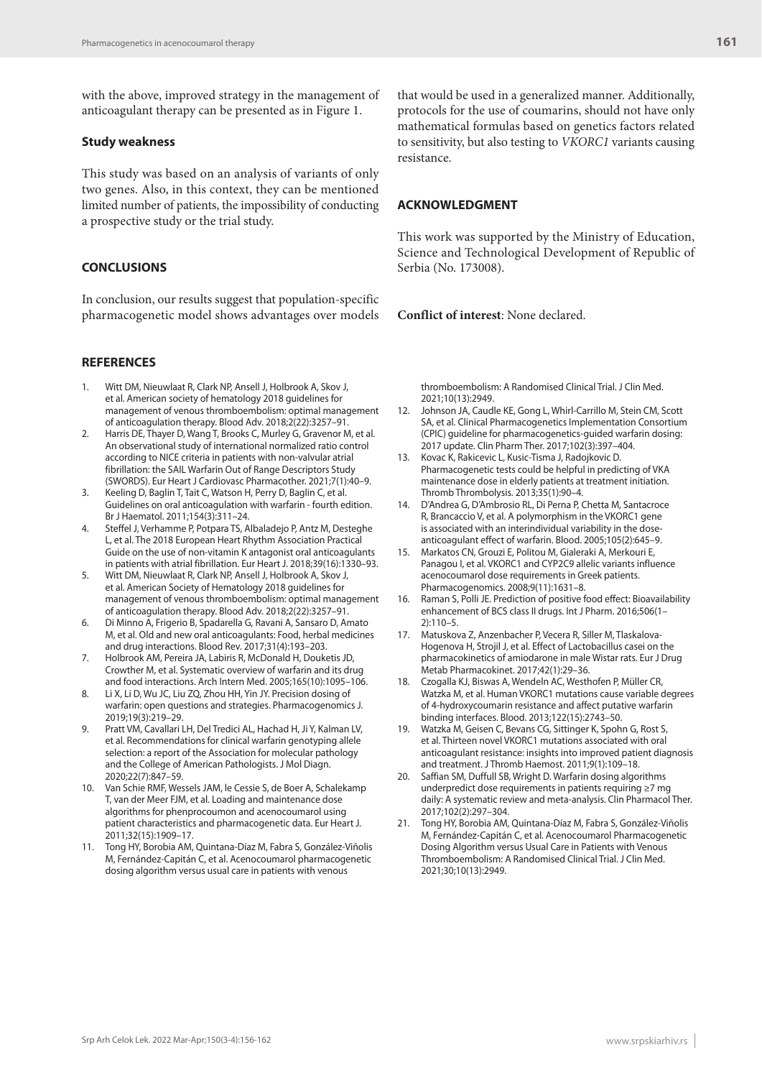with the above, improved strategy in the management of anticoagulant therapy can be presented as in Figure 1.

### **Study weakness**

This study was based on an analysis of variants of only two genes. Also, in this context, they can be mentioned limited number of patients, the impossibility of conducting a prospective study or the trial study.

### **CONCLUSIONS**

In conclusion, our results suggest that population-specific pharmacogenetic model shows advantages over models

#### **REFERENCES**

- Witt DM, Nieuwlaat R, Clark NP, Ansell J, Holbrook A, Skov J, et al. American society of hematology 2018 guidelines for management of venous thromboembolism: optimal management of anticoagulation therapy. Blood Adv. 2018;2(22):3257–91.
- 2. Harris DE, Thayer D, Wang T, Brooks C, Murley G, Gravenor M, et al. An observational study of international normalized ratio control according to NICE criteria in patients with non-valvular atrial fibrillation: the SAIL Warfarin Out of Range Descriptors Study (SWORDS). Eur Heart J Cardiovasc Pharmacother. 2021;7(1):40–9.
- 3. Keeling D, Baglin T, Tait C, Watson H, Perry D, Baglin C, et al. Guidelines on oral anticoagulation with warfarin - fourth edition. Br J Haematol. 2011;154(3):311–24.
- Steffel J, Verhamme P, Potpara TS, Albaladejo P, Antz M, Desteghe L, et al. The 2018 European Heart Rhythm Association Practical Guide on the use of non-vitamin K antagonist oral anticoagulants in patients with atrial fibrillation. Eur Heart J. 2018;39(16):1330–93.
- 5. Witt DM, Nieuwlaat R, Clark NP, Ansell J, Holbrook A, Skov J, et al. American Society of Hematology 2018 guidelines for management of venous thromboembolism: optimal management of anticoagulation therapy. Blood Adv. 2018;2(22):3257–91.
- 6. Di Minno A, Frigerio B, Spadarella G, Ravani A, Sansaro D, Amato M, et al. Old and new oral anticoagulants: Food, herbal medicines and drug interactions. Blood Rev. 2017;31(4):193–203.
- 7. Holbrook AM, Pereira JA, Labiris R, McDonald H, Douketis JD, Crowther M, et al. Systematic overview of warfarin and its drug and food interactions. Arch Intern Med. 2005;165(10):1095–106.
- 8. Li X, Li D, Wu JC, Liu ZQ, Zhou HH, Yin JY. Precision dosing of warfarin: open questions and strategies. Pharmacogenomics J. 2019;19(3):219–29.
- 9. Pratt VM, Cavallari LH, Del Tredici AL, Hachad H, Ji Y, Kalman LV, et al. Recommendations for clinical warfarin genotyping allele selection: a report of the Association for molecular pathology and the College of American Pathologists. J Mol Diagn. 2020;22(7):847–59.
- 10. Van Schie RMF, Wessels JAM, le Cessie S, de Boer A, Schalekamp T, van der Meer FJM, et al. Loading and maintenance dose algorithms for phenprocoumon and acenocoumarol using patient characteristics and pharmacogenetic data. Eur Heart J. 2011;32(15):1909–17.
- 11. Tong HY, Borobia AM, Quintana-Díaz M, Fabra S, González-Viñolis M, Fernández-Capitán C, et al. Acenocoumarol pharmacogenetic dosing algorithm versus usual care in patients with venous

**161**

that would be used in a generalized manner. Additionally, protocols for the use of coumarins, should not have only mathematical formulas based on genetics factors related to sensitivity, but also testing to *VKORC1* variants causing resistance.

#### **ACKNOWLEDGMENT**

This work was supported by the Ministry of Education, Science and Technological Development of Republic of Serbia (No. 173008).

**Conflict of interest**: None declared.

thromboembolism: A Randomised Clinical Trial. J Clin Med. 2021;10(13):2949.

- 12. Johnson JA, Caudle KE, Gong L, Whirl-Carrillo M, Stein CM, Scott SA, et al. Clinical Pharmacogenetics Implementation Consortium (CPIC) guideline for pharmacogenetics-guided warfarin dosing: 2017 update. Clin Pharm Ther. 2017;102(3):397–404.
- 13. Kovac K, Rakicevic L, Kusic-Tisma J, Radojkovic D. Pharmacogenetic tests could be helpful in predicting of VKA maintenance dose in elderly patients at treatment initiation. Thromb Thrombolysis. 2013;35(1):90–4.
- 14. D'Andrea G, D'Ambrosio RL, Di Perna P, Chetta M, Santacroce R, Brancaccio V, et al. A polymorphism in the VKORC1 gene is associated with an interindividual variability in the doseanticoagulant effect of warfarin. Blood. 2005;105(2):645–9.
- 15. Markatos CN, Grouzi E, Politou M, Gialeraki A, Merkouri E, Panagou I, et al. VKORC1 and CYP2C9 allelic variants influence acenocoumarol dose requirements in Greek patients. Pharmacogenomics. 2008;9(11):1631–8.
- 16. Raman S, Polli JE. Prediction of positive food effect: Bioavailability enhancement of BCS class II drugs. Int J Pharm. 2016;506(1– 2):110–5.
- 17. Matuskova Z, Anzenbacher P, Vecera R, Siller M, Tlaskalova-Hogenova H, Strojil J, et al. Effect of Lactobacillus casei on the pharmacokinetics of amiodarone in male Wistar rats. Eur J Drug Metab Pharmacokinet. 2017;42(1):29–36.
- Czogalla KJ, Biswas A, Wendeln AC, Westhofen P, Müller CR, Watzka M, et al. Human VKORC1 mutations cause variable degrees of 4-hydroxycoumarin resistance and affect putative warfarin binding interfaces. Blood. 2013;122(15):2743–50.
- Watzka M, Geisen C, Bevans CG, Sittinger K, Spohn G, Rost S, et al. Thirteen novel VKORC1 mutations associated with oral anticoagulant resistance: insights into improved patient diagnosis and treatment. J Thromb Haemost. 2011;9(1):109–18.
- 20. Saffian SM, Duffull SB, Wright D. Warfarin dosing algorithms underpredict dose requirements in patients requiring ≥7 mg daily: A systematic review and meta-analysis. Clin Pharmacol Ther. 2017;102(2):297–304.
- 21. Tong HY, Borobia AM, Quintana-Díaz M, Fabra S, González-Viñolis M, Fernández-Capitán C, et al. Acenocoumarol Pharmacogenetic Dosing Algorithm versus Usual Care in Patients with Venous Thromboembolism: A Randomised Clinical Trial. J Clin Med. 2021;30;10(13):2949.